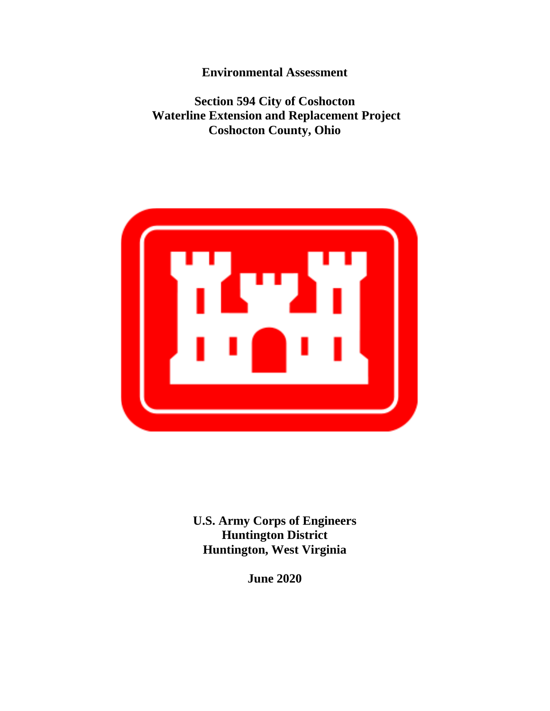**Environmental Assessment** 

 **Section 594 City of Coshocton Waterline Extension and Replacement Project Coshocton County, Ohio** 



**U.S. Army Corps of Engineers Huntington District Huntington, West Virginia** 

**June 2020**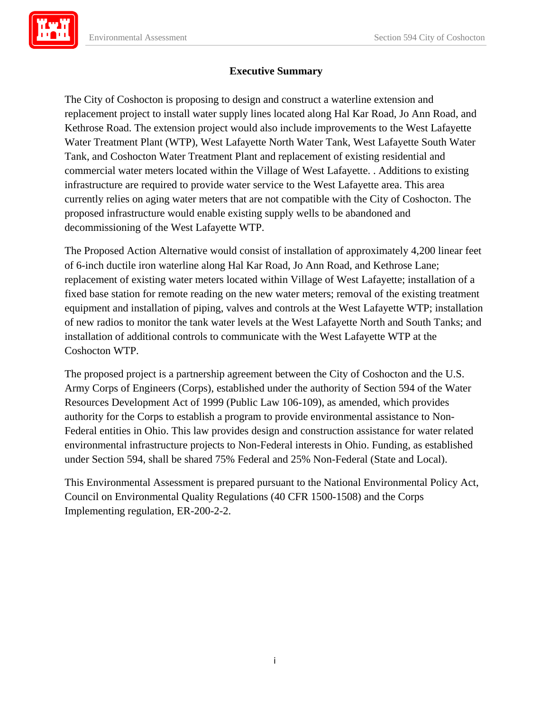

## **Executive Summary**

The City of Coshocton is proposing to design and construct a waterline extension and replacement project to install water supply lines located along Hal Kar Road, Jo Ann Road, and Kethrose Road. The extension project would also include improvements to the West Lafayette Water Treatment Plant (WTP), West Lafayette North Water Tank, West Lafayette South Water Tank, and Coshocton Water Treatment Plant and replacement of existing residential and commercial water meters located within the Village of West Lafayette. . Additions to existing infrastructure are required to provide water service to the West Lafayette area. This area currently relies on aging water meters that are not compatible with the City of Coshocton. The proposed infrastructure would enable existing supply wells to be abandoned and decommissioning of the West Lafayette WTP.

The Proposed Action Alternative would consist of installation of approximately 4,200 linear feet of 6-inch ductile iron waterline along Hal Kar Road, Jo Ann Road, and Kethrose Lane; replacement of existing water meters located within Village of West Lafayette; installation of a fixed base station for remote reading on the new water meters; removal of the existing treatment equipment and installation of piping, valves and controls at the West Lafayette WTP; installation of new radios to monitor the tank water levels at the West Lafayette North and South Tanks; and installation of additional controls to communicate with the West Lafayette WTP at the Coshocton WTP.

The proposed project is a partnership agreement between the City of Coshocton and the U.S. Army Corps of Engineers (Corps), established under the authority of Section 594 of the Water Resources Development Act of 1999 (Public Law 106-109), as amended, which provides authority for the Corps to establish a program to provide environmental assistance to Non-Federal entities in Ohio. This law provides design and construction assistance for water related environmental infrastructure projects to Non-Federal interests in Ohio. Funding, as established under Section 594, shall be shared 75% Federal and 25% Non-Federal (State and Local).

This Environmental Assessment is prepared pursuant to the National Environmental Policy Act, Council on Environmental Quality Regulations (40 CFR 1500-1508) and the Corps Implementing regulation, ER-200-2-2.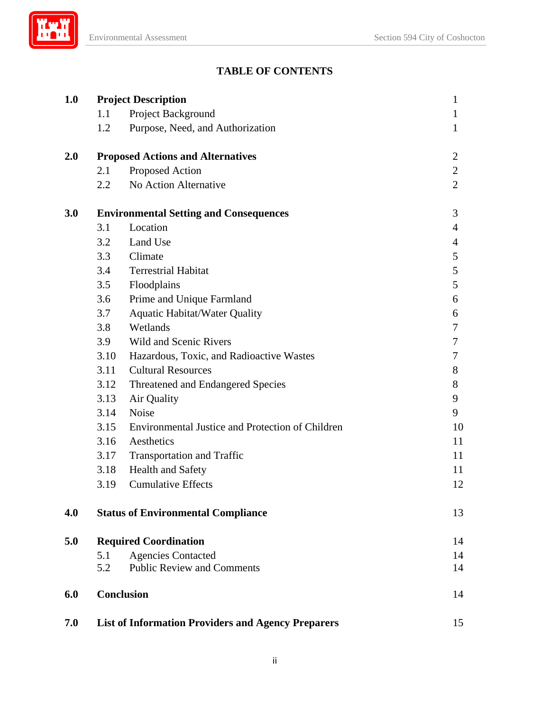# **TABLE OF CONTENTS**

| 1.0 |                                               | <b>Project Description</b>                                | $\mathbf{1}$   |
|-----|-----------------------------------------------|-----------------------------------------------------------|----------------|
|     | 1.1                                           | Project Background                                        | $\mathbf{1}$   |
|     | 1.2                                           | Purpose, Need, and Authorization                          | $\mathbf{1}$   |
| 2.0 | <b>Proposed Actions and Alternatives</b>      | $\overline{c}$                                            |                |
|     | 2.1                                           | Proposed Action                                           | $\mathbf{2}$   |
|     | 2.2                                           | No Action Alternative                                     | $\overline{2}$ |
| 3.0 | <b>Environmental Setting and Consequences</b> |                                                           | 3              |
|     | 3.1                                           | Location                                                  | 4              |
|     | 3.2                                           | Land Use                                                  | 4              |
|     | 3.3                                           | Climate                                                   | 5              |
|     | 3.4                                           | <b>Terrestrial Habitat</b>                                | 5              |
|     | 3.5                                           | Floodplains                                               | 5              |
|     | 3.6                                           | Prime and Unique Farmland                                 | 6              |
|     | 3.7                                           | <b>Aquatic Habitat/Water Quality</b>                      | 6              |
|     | 3.8                                           | Wetlands                                                  | 7              |
|     | 3.9                                           | <b>Wild and Scenic Rivers</b>                             | 7              |
|     | 3.10                                          | Hazardous, Toxic, and Radioactive Wastes                  | 7              |
|     | 3.11                                          | <b>Cultural Resources</b>                                 | 8              |
|     | 3.12                                          | Threatened and Endangered Species                         | 8              |
|     | 3.13                                          | Air Quality                                               | 9              |
|     | 3.14                                          | Noise                                                     | 9              |
|     | 3.15                                          | Environmental Justice and Protection of Children          | 10             |
|     | 3.16                                          | Aesthetics                                                | 11             |
|     | 3.17                                          | <b>Transportation and Traffic</b>                         | 11             |
|     | 3.18                                          | <b>Health and Safety</b>                                  | 11             |
|     | 3.19                                          | <b>Cumulative Effects</b>                                 | 12             |
| 4.0 |                                               | <b>Status of Environmental Compliance</b>                 | 13             |
| 5.0 | <b>Required Coordination</b>                  |                                                           | 14             |
|     | 5.1                                           | <b>Agencies Contacted</b>                                 | 14             |
|     | 5.2                                           | <b>Public Review and Comments</b>                         | 14             |
| 6.0 |                                               | <b>Conclusion</b>                                         | 14             |
| 7.0 |                                               | <b>List of Information Providers and Agency Preparers</b> | 15             |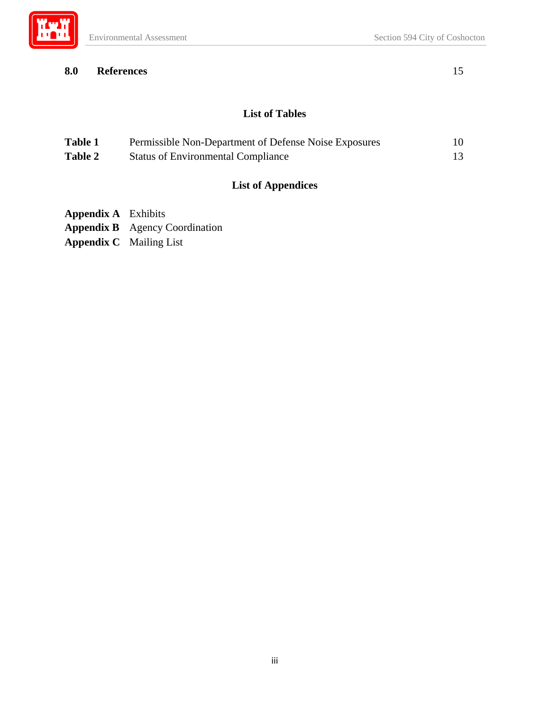

## **8.0 References** 15

## **List of Tables**

| <b>Table 1</b> | Permissible Non-Department of Defense Noise Exposures | 10. |
|----------------|-------------------------------------------------------|-----|
| Table 2        | <b>Status of Environmental Compliance</b>             |     |

# **List of Appendices**

- **Appendix A** Exhibits
- **Appendix B** Agency Coordination
- **Appendix C** Mailing List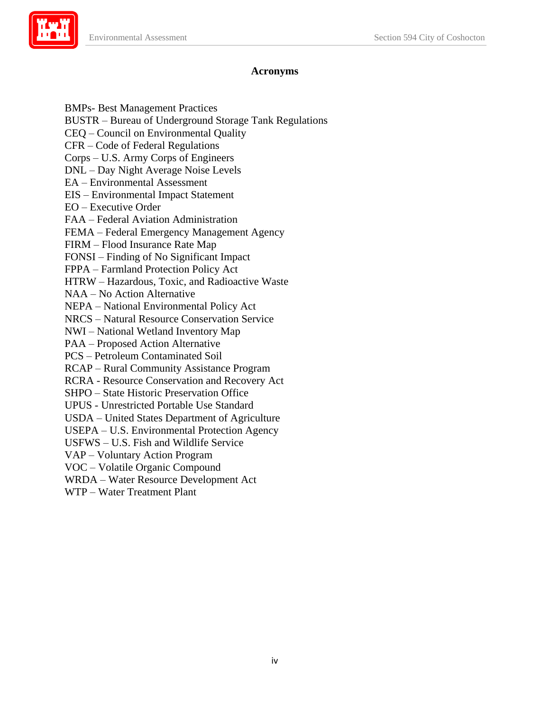

### **Acronyms**

BMPs- Best Management Practices

BUSTR – Bureau of Underground Storage Tank Regulations

CEQ – Council on Environmental Quality

CFR – Code of Federal Regulations

Corps – U.S. Army Corps of Engineers

DNL – Day Night Average Noise Levels EA – Environmental Assessment

EA - Environmental Assessment

EIS – Environmental Impact Statement

EO – Executive Order

FAA – Federal Aviation Administration

FEMA – Federal Emergency Management Agency

FIRM – Flood Insurance Rate Map

FONSI – Finding of No Significant Impact

FPPA – Farmland Protection Policy Act

HTRW – Hazardous, Toxic, and Radioactive Waste

NAA - No Action Alternative

NAA – No Action Alternative<br>NEPA – National Environmental Policy Act

NRCS – Natural Resource Conservation Service

NWI – National Wetland Inventory Map

PAA – Proposed Action Alternative

**PCS** – Petroleum Contaminated Soil

PCS – Petroleum Contaminated Soil RCAP – Rural Community Assistance Program

RCRA - Resource Conservation and Recovery Act SHPO – State Historic Preservation Office

SHPO – State Historic Preservation Office

UPUS - Unrestricted Portable Use Standard

USDA – United States Department of Agriculture

USEPA – U.S. Environmental Protection Agency

USFWS – U.S. Fish and Wildlife Service<br>VAP – Voluntary Action Program<br>VOC – Volatile Organic Compound

VAP - Voluntary Action Program

WRDA – Water Resource Development Act

WTP – Water Treatment Plant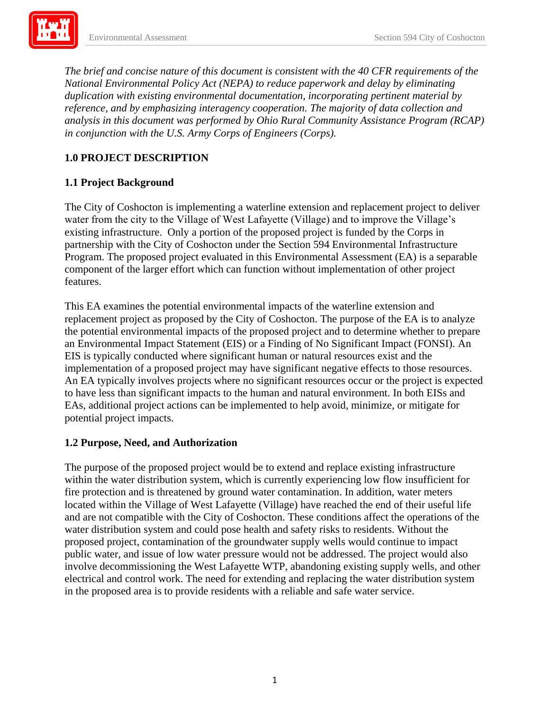*analysis in this document was performed by Ohio Rural Community Assistance Program (RCAP) The brief and concise nature of this document is consistent with the 40 CFR requirements of the National Environmental Policy Act (NEPA) to reduce paperwork and delay by eliminating duplication with existing environmental documentation, incorporating pertinent material by reference, and by emphasizing interagency cooperation. The majority of data collection and in conjunction with the U.S. Army Corps of Engineers (Corps).* 

### **1.0 PROJECT DESCRIPTION**

### **1.1 Project Background**

The City of Coshocton is implementing a waterline extension and replacement project to deliver water from the city to the Village of West Lafayette (Village) and to improve the Village's existing infrastructure. Only a portion of the proposed project is funded by the Corps in partnership with the City of Coshocton under the Section 594 Environmental Infrastructure Program. The proposed project evaluated in this Environmental Assessment (EA) is a separable component of the larger effort which can function without implementation of other project features.

 potential project impacts. This EA examines the potential environmental impacts of the waterline extension and replacement project as proposed by the City of Coshocton. The purpose of the EA is to analyze the potential environmental impacts of the proposed project and to determine whether to prepare an Environmental Impact Statement (EIS) or a Finding of No Significant Impact (FONSI). An EIS is typically conducted where significant human or natural resources exist and the implementation of a proposed project may have significant negative effects to those resources. An EA typically involves projects where no significant resources occur or the project is expected to have less than significant impacts to the human and natural environment. In both EISs and EAs, additional project actions can be implemented to help avoid, minimize, or mitigate for

#### **1.2 Purpose, Need, and Authorization**

 The purpose of the proposed project would be to extend and replace existing infrastructure within the water distribution system, which is currently experiencing low flow insufficient for located within the Village of West Lafayette (Village) have reached the end of their useful life in the proposed area is to provide residents with a reliable and safe water service. fire protection and is threatened by ground water contamination. In addition, water meters and are not compatible with the City of Coshocton. These conditions affect the operations of the water distribution system and could pose health and safety risks to residents. Without the proposed project, contamination of the groundwater supply wells would continue to impact public water, and issue of low water pressure would not be addressed. The project would also involve decommissioning the West Lafayette WTP, abandoning existing supply wells, and other electrical and control work. The need for extending and replacing the water distribution system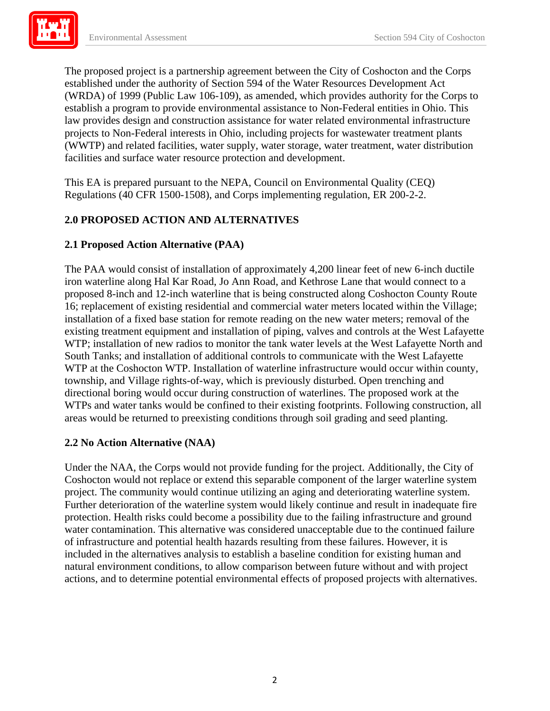projects to Non-Federal interests in Ohio, including projects for wastewater treatment plants **Exil** The proposed project is a partnership agreement between the City of Coshocton and the Corps established under the authority of Section 594 of the Water Resources Development Act (WRDA) of 1999 (Public Law 106-109), as amended, which provides authority for the Corps to establish a program to provide environmental assistance to Non-Federal entities in Ohio. This law provides design and construction assistance for water related environmental infrastructure (WWTP) and related facilities, water supply, water storage, water treatment, water distribution facilities and surface water resource protection and development.

This EA is prepared pursuant to the NEPA, Council on Environmental Quality (CEQ) Regulations (40 CFR 1500-1508), and Corps implementing regulation, ER 200-2-2.

# **2.0 PROPOSED ACTION AND ALTERNATIVES**

## **2.1 Proposed Action Alternative (PAA)**

 WTP at the Coshocton WTP. Installation of waterline infrastructure would occur within county, The PAA would consist of installation of approximately 4,200 linear feet of new 6-inch ductile iron waterline along Hal Kar Road, Jo Ann Road, and Kethrose Lane that would connect to a proposed 8-inch and 12-inch waterline that is being constructed along Coshocton County Route 16; replacement of existing residential and commercial water meters located within the Village; installation of a fixed base station for remote reading on the new water meters; removal of the existing treatment equipment and installation of piping, valves and controls at the West Lafayette WTP; installation of new radios to monitor the tank water levels at the West Lafayette North and South Tanks; and installation of additional controls to communicate with the West Lafayette township, and Village rights-of-way, which is previously disturbed. Open trenching and directional boring would occur during construction of waterlines. The proposed work at the WTPs and water tanks would be confined to their existing footprints. Following construction, all areas would be returned to preexisting conditions through soil grading and seed planting.

### **2.2 No Action Alternative (NAA)**

 Coshocton would not replace or extend this separable component of the larger waterline system actions, and to determine potential environmental effects of proposed projects with alternatives. Under the NAA, the Corps would not provide funding for the project. Additionally, the City of project. The community would continue utilizing an aging and deteriorating waterline system. Further deterioration of the waterline system would likely continue and result in inadequate fire protection. Health risks could become a possibility due to the failing infrastructure and ground water contamination. This alternative was considered unacceptable due to the continued failure of infrastructure and potential health hazards resulting from these failures. However, it is included in the alternatives analysis to establish a baseline condition for existing human and natural environment conditions, to allow comparison between future without and with project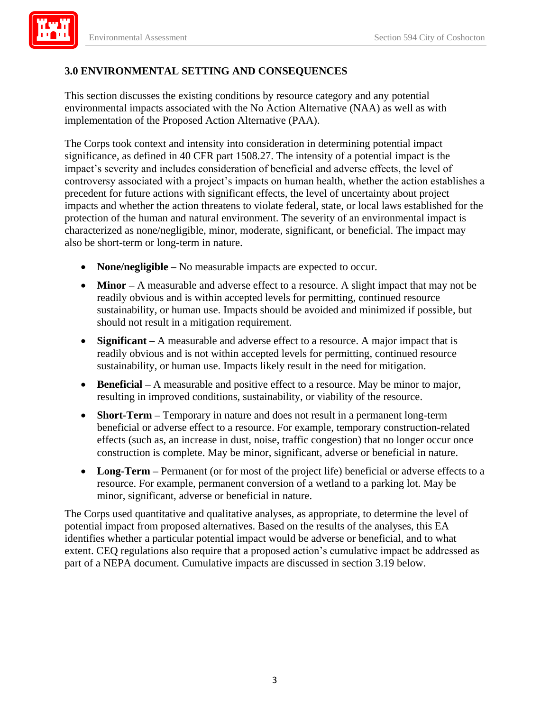

## **3.0 ENVIRONMENTAL SETTING AND CONSEQUENCES**

This section discusses the existing conditions by resource category and any potential environmental impacts associated with the No Action Alternative (NAA) as well as with implementation of the Proposed Action Alternative (PAA).

The Corps took context and intensity into consideration in determining potential impact significance, as defined in 40 CFR part 1508.27. The intensity of a potential impact is the impact's severity and includes consideration of beneficial and adverse effects, the level of controversy associated with a project's impacts on human health, whether the action establishes a precedent for future actions with significant effects, the level of uncertainty about project impacts and whether the action threatens to violate federal, state, or local laws established for the protection of the human and natural environment. The severity of an environmental impact is characterized as none/negligible, minor, moderate, significant, or beneficial. The impact may also be short-term or long-term in nature.

- **None/negligible** No measurable impacts are expected to occur.
- **Minor** A measurable and adverse effect to a resource. A slight impact that may not be readily obvious and is within accepted levels for permitting, continued resource sustainability, or human use. Impacts should be avoided and minimized if possible, but should not result in a mitigation requirement.
- **Significant –** A measurable and adverse effect to a resource. A major impact that is readily obvious and is not within accepted levels for permitting, continued resource sustainability, or human use. Impacts likely result in the need for mitigation.
- **Beneficial –** A measurable and positive effect to a resource. May be minor to major, resulting in improved conditions, sustainability, or viability of the resource.
- **Short-Term –** Temporary in nature and does not result in a permanent long-term beneficial or adverse effect to a resource. For example, temporary construction-related effects (such as, an increase in dust, noise, traffic congestion) that no longer occur once construction is complete. May be minor, significant, adverse or beneficial in nature.
- resource. For example, permanent conversion of a wetland to a parking lot. May be minor, significant, adverse or beneficial in nature. **Long-Term –** Permanent (or for most of the project life) beneficial or adverse effects to a

The Corps used quantitative and qualitative analyses, as appropriate, to determine the level of potential impact from proposed alternatives. Based on the results of the analyses, this EA identifies whether a particular potential impact would be adverse or beneficial, and to what extent. CEQ regulations also require that a proposed action's cumulative impact be addressed as part of a NEPA document. Cumulative impacts are discussed in section 3.19 below.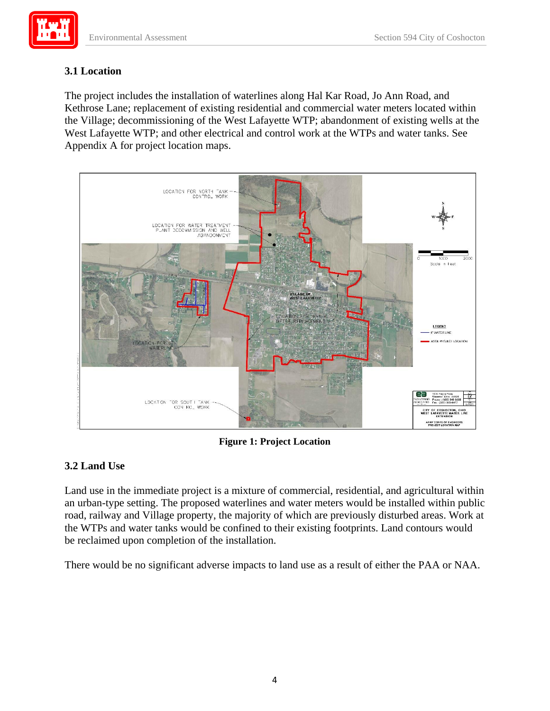

## **3.1 Location**

The project includes the installation of waterlines along Hal Kar Road, Jo Ann Road, and Kethrose Lane; replacement of existing residential and commercial water meters located within the Village; decommissioning of the West Lafayette WTP; abandonment of existing wells at the West Lafayette WTP; and other electrical and control work at the WTPs and water tanks. See Appendix A for project location maps.



**Figure 1: Project Location** 

### **3.2 Land Use**

Land use in the immediate project is a mixture of commercial, residential, and agricultural within an urban-type setting. The proposed waterlines and water meters would be installed within public road, railway and Village property, the majority of which are previously disturbed areas. Work at the WTPs and water tanks would be confined to their existing footprints. Land contours would be reclaimed upon completion of the installation.

There would be no significant adverse impacts to land use as a result of either the PAA or NAA.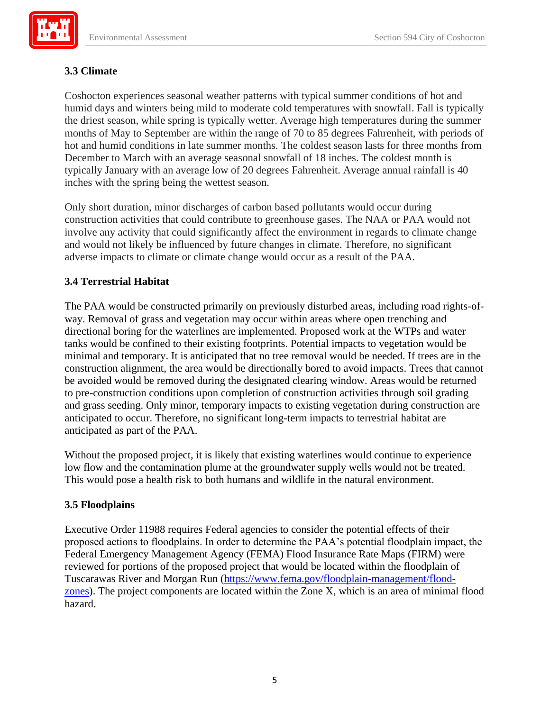## **3.3 Climate**

Coshocton experiences seasonal weather patterns with typical summer conditions of hot and humid days and winters being mild to moderate cold temperatures with snowfall. Fall is typically the driest season, while spring is typically wetter. Average high temperatures during the summer months of May to September are within the range of 70 to 85 degrees Fahrenheit, with periods of hot and humid conditions in late summer months. The coldest season lasts for three months from December to March with an average seasonal snowfall of 18 inches. The coldest month is typically January with an average low of 20 degrees Fahrenheit. Average annual rainfall is 40 inches with the spring being the wettest season.

Only short duration, minor discharges of carbon based pollutants would occur during construction activities that could contribute to greenhouse gases. The NAA or PAA would not involve any activity that could significantly affect the environment in regards to climate change and would not likely be influenced by future changes in climate. Therefore, no significant adverse impacts to climate or climate change would occur as a result of the PAA.

## **3.4 Terrestrial Habitat**

The PAA would be constructed primarily on previously disturbed areas, including road rights-ofway. Removal of grass and vegetation may occur within areas where open trenching and directional boring for the waterlines are implemented. Proposed work at the WTPs and water tanks would be confined to their existing footprints. Potential impacts to vegetation would be minimal and temporary. It is anticipated that no tree removal would be needed. If trees are in the construction alignment, the area would be directionally bored to avoid impacts. Trees that cannot be avoided would be removed during the designated clearing window. Areas would be returned to pre-construction conditions upon completion of construction activities through soil grading and grass seeding. Only minor, temporary impacts to existing vegetation during construction are anticipated to occur. Therefore, no significant long-term impacts to terrestrial habitat are anticipated as part of the PAA.

Without the proposed project, it is likely that existing waterlines would continue to experience low flow and the contamination plume at the groundwater supply wells would not be treated. This would pose a health risk to both humans and wildlife in the natural environment.

### **3.5 Floodplains**

Executive Order 11988 requires Federal agencies to consider the potential effects of their proposed actions to floodplains. In order to determine the PAA's potential floodplain impact, the Federal Emergency Management Agency (FEMA) Flood Insurance Rate Maps (FIRM) were reviewed for portions of the proposed project that would be located within the floodplain of Tuscarawas River and Morgan Run [\(https://www.fema.gov/floodplain-management/flood](https://www.fema.gov/floodplain-management/flood-zones)[zones\)](https://www.fema.gov/floodplain-management/flood-zones). The project components are located within the Zone X, which is an area of minimal flood hazard.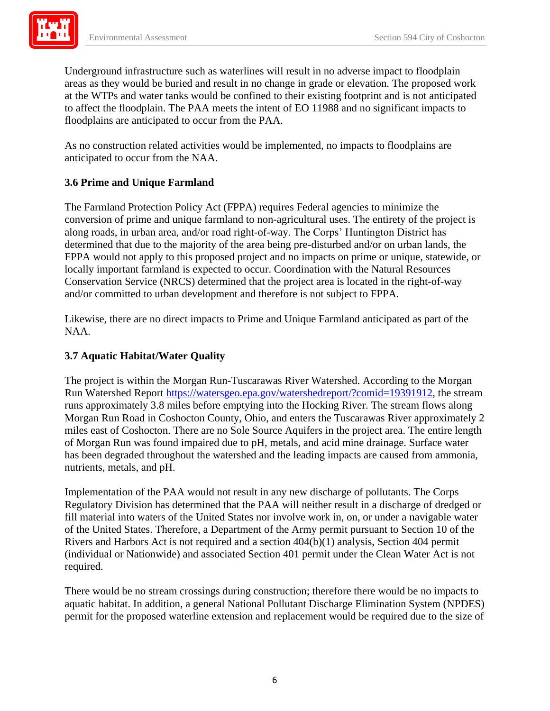areas as they would be buried and result in no change in grade or elevation. The proposed work at the WTPs and water tanks would be confined to their existing footprint and is not anticipated floodplains are anticipated to occur from the PAA. Underground infrastructure such as waterlines will result in no adverse impact to floodplain to affect the floodplain. The PAA meets the intent of EO 11988 and no significant impacts to

 anticipated to occur from the NAA. As no construction related activities would be implemented, no impacts to floodplains are

## **3.6 Prime and Unique Farmland**

The Farmland Protection Policy Act (FPPA) requires Federal agencies to minimize the conversion of prime and unique farmland to non-agricultural uses. The entirety of the project is along roads, in urban area, and/or road right-of-way. The Corps' Huntington District has determined that due to the majority of the area being pre-disturbed and/or on urban lands, the FPPA would not apply to this proposed project and no impacts on prime or unique, statewide, or locally important farmland is expected to occur. Coordination with the Natural Resources Conservation Service (NRCS) determined that the project area is located in the right-of-way and/or committed to urban development and therefore is not subject to FPPA.

 NAA. Likewise, there are no direct impacts to Prime and Unique Farmland anticipated as part of the

### **3.7 Aquatic Habitat/Water Quality**

Run Watershed Report [https://watersgeo.epa.gov/watershedreport/?comid=19391912,](https://watersgeo.epa.gov/watershedreport/?comid=19391912) the stream miles east of Coshocton. There are no Sole Source Aquifers in the project area. The entire length The project is within the Morgan Run-Tuscarawas River Watershed. According to the Morgan runs approximately 3.8 miles before emptying into the Hocking River. The stream flows along Morgan Run Road in Coshocton County, Ohio, and enters the Tuscarawas River approximately 2 of Morgan Run was found impaired due to pH, metals, and acid mine drainage. Surface water has been degraded throughout the watershed and the leading impacts are caused from ammonia, nutrients, metals, and pH.

Implementation of the PAA would not result in any new discharge of pollutants. The Corps Regulatory Division has determined that the PAA will neither result in a discharge of dredged or fill material into waters of the United States nor involve work in, on, or under a navigable water of the United States. Therefore, a Department of the Army permit pursuant to Section 10 of the Rivers and Harbors Act is not required and a section 404(b)(1) analysis, Section 404 permit (individual or Nationwide) and associated Section 401 permit under the Clean Water Act is not required.

There would be no stream crossings during construction; therefore there would be no impacts to aquatic habitat. In addition, a general National Pollutant Discharge Elimination System (NPDES) permit for the proposed waterline extension and replacement would be required due to the size of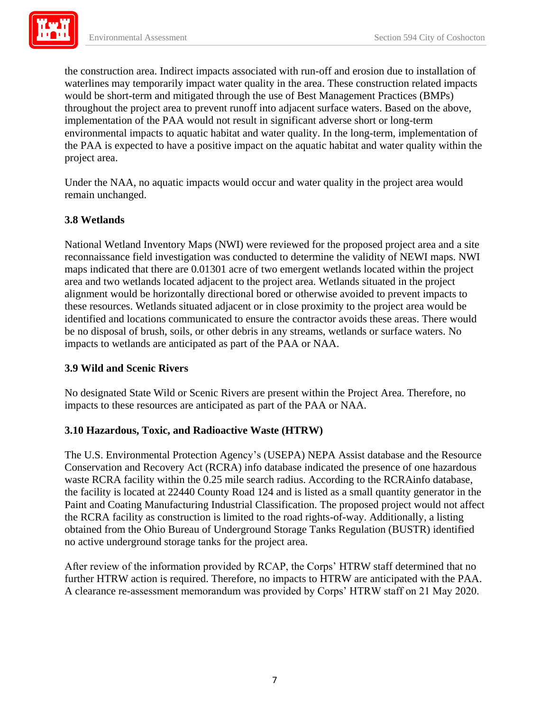would be short-term and mitigated through the use of Best Management Practices (BMPs) project area. the construction area. Indirect impacts associated with run-off and erosion due to installation of waterlines may temporarily impact water quality in the area. These construction related impacts throughout the project area to prevent runoff into adjacent surface waters. Based on the above, implementation of the PAA would not result in significant adverse short or long-term environmental impacts to aquatic habitat and water quality. In the long-term, implementation of the PAA is expected to have a positive impact on the aquatic habitat and water quality within the

Under the NAA, no aquatic impacts would occur and water quality in the project area would remain unchanged.

### **3.8 Wetlands**

 maps indicated that there are 0.01301 acre of two emergent wetlands located within the project National Wetland Inventory Maps (NWI) were reviewed for the proposed project area and a site reconnaissance field investigation was conducted to determine the validity of NEWI maps. NWI area and two wetlands located adjacent to the project area. Wetlands situated in the project alignment would be horizontally directional bored or otherwise avoided to prevent impacts to these resources. Wetlands situated adjacent or in close proximity to the project area would be identified and locations communicated to ensure the contractor avoids these areas. There would be no disposal of brush, soils, or other debris in any streams, wetlands or surface waters. No impacts to wetlands are anticipated as part of the PAA or NAA.

#### **3.9 Wild and Scenic Rivers**

No designated State Wild or Scenic Rivers are present within the Project Area. Therefore, no impacts to these resources are anticipated as part of the PAA or NAA.

### **3.10 Hazardous, Toxic, and Radioactive Waste (HTRW)**

The U.S. Environmental Protection Agency's (USEPA) NEPA Assist database and the Resource Conservation and Recovery Act (RCRA) info database indicated the presence of one hazardous waste RCRA facility within the 0.25 mile search radius. According to the RCRAinfo database, the facility is located at 22440 County Road 124 and is listed as a small quantity generator in the Paint and Coating Manufacturing Industrial Classification. The proposed project would not affect the RCRA facility as construction is limited to the road rights-of-way. Additionally, a listing obtained from the Ohio Bureau of Underground Storage Tanks Regulation (BUSTR) identified no active underground storage tanks for the project area.

After review of the information provided by RCAP, the Corps' HTRW staff determined that no further HTRW action is required. Therefore, no impacts to HTRW are anticipated with the PAA. A clearance re-assessment memorandum was provided by Corps' HTRW staff on 21 May 2020.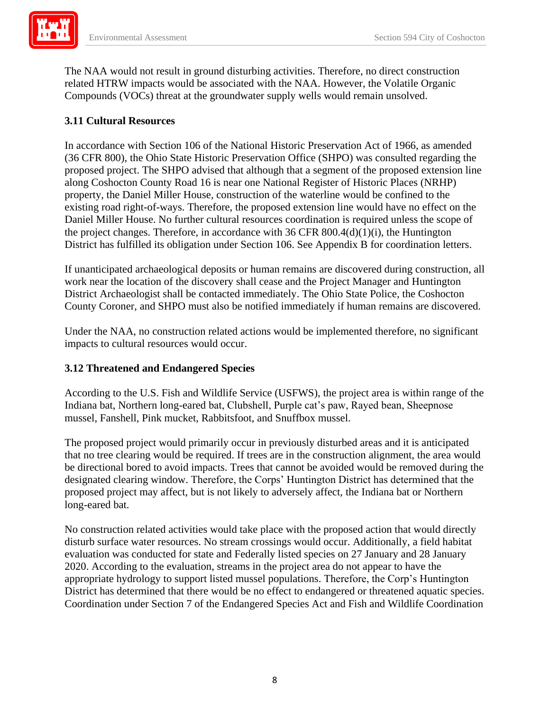The NAA would not result in ground disturbing activities. Therefore, no direct construction related HTRW impacts would be associated with the NAA. However, the Volatile Organic Compounds (VOCs) threat at the groundwater supply wells would remain unsolved.

### **3.11 Cultural Resources**

In accordance with Section 106 of the National Historic Preservation Act of 1966, as amended (36 CFR 800), the Ohio State Historic Preservation Office (SHPO) was consulted regarding the proposed project. The SHPO advised that although that a segment of the proposed extension line along Coshocton County Road 16 is near one National Register of Historic Places (NRHP) property, the Daniel Miller House, construction of the waterline would be confined to the existing road right-of-ways. Therefore, the proposed extension line would have no effect on the Daniel Miller House. No further cultural resources coordination is required unless the scope of the project changes. Therefore, in accordance with 36 CFR 800.4(d)(1)(i), the Huntington District has fulfilled its obligation under Section 106. See Appendix B for coordination letters.

If unanticipated archaeological deposits or human remains are discovered during construction, all work near the location of the discovery shall cease and the Project Manager and Huntington District Archaeologist shall be contacted immediately. The Ohio State Police, the Coshocton County Coroner, and SHPO must also be notified immediately if human remains are discovered.

Under the NAA, no construction related actions would be implemented therefore, no significant impacts to cultural resources would occur.

### **3.12 Threatened and Endangered Species**

According to the U.S. Fish and Wildlife Service (USFWS), the project area is within range of the Indiana bat, Northern long-eared bat, Clubshell, Purple cat's paw, Rayed bean, Sheepnose mussel, Fanshell, Pink mucket, Rabbitsfoot, and Snuffbox mussel.

 that no tree clearing would be required. If trees are in the construction alignment, the area would The proposed project would primarily occur in previously disturbed areas and it is anticipated be directional bored to avoid impacts. Trees that cannot be avoided would be removed during the designated clearing window. Therefore, the Corps' Huntington District has determined that the proposed project may affect, but is not likely to adversely affect, the Indiana bat or Northern long-eared bat.

No construction related activities would take place with the proposed action that would directly disturb surface water resources. No stream crossings would occur. Additionally, a field habitat evaluation was conducted for state and Federally listed species on 27 January and 28 January 2020. According to the evaluation, streams in the project area do not appear to have the appropriate hydrology to support listed mussel populations. Therefore, the Corp's Huntington District has determined that there would be no effect to endangered or threatened aquatic species. Coordination under Section 7 of the Endangered Species Act and Fish and Wildlife Coordination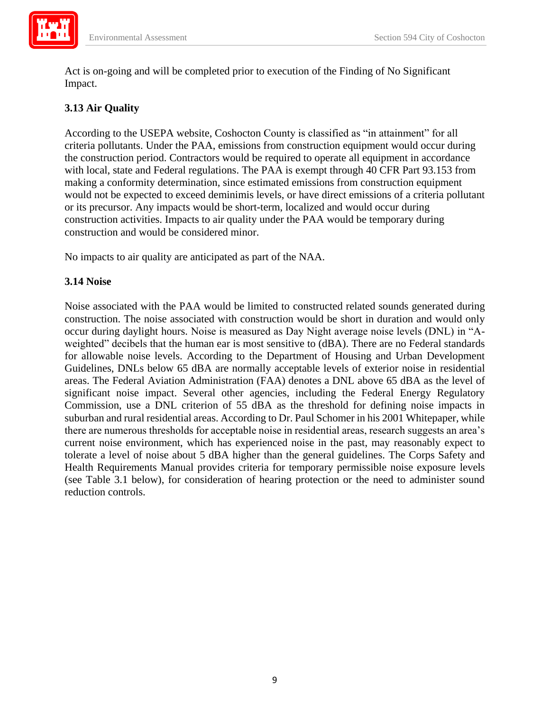

Act is on-going and will be completed prior to execution of the Finding of No Significant Impact.

## **3.13 Air Quality**

 According to the USEPA website, Coshocton County is classified as "in attainment" for all criteria pollutants. Under the PAA, emissions from construction equipment would occur during the construction period. Contractors would be required to operate all equipment in accordance with local, state and Federal regulations. The PAA is exempt through 40 CFR Part 93.153 from making a conformity determination, since estimated emissions from construction equipment would not be expected to exceed deminimis levels, or have direct emissions of a criteria pollutant or its precursor. Any impacts would be short-term, localized and would occur during construction activities. Impacts to air quality under the PAA would be temporary during construction and would be considered minor.

No impacts to air quality are anticipated as part of the NAA.

### **3.14 Noise**

 occur during daylight hours. Noise is measured as Day Night average noise levels (DNL) in "A- Guidelines, DNLs below 65 dBA are normally acceptable levels of exterior noise in residential areas. The Federal Aviation Administration (FAA) denotes a DNL above 65 dBA as the level of significant noise impact. Several other agencies, including the Federal Energy Regulatory Commission, use a DNL criterion of 55 dBA as the threshold for defining noise impacts in current noise environment, which has experienced noise in the past, may reasonably expect to Noise associated with the PAA would be limited to constructed related sounds generated during construction. The noise associated with construction would be short in duration and would only weighted" decibels that the human ear is most sensitive to (dBA). There are no Federal standards for allowable noise levels. According to the Department of Housing and Urban Development suburban and rural residential areas. According to Dr. Paul Schomer in his 2001 Whitepaper, while there are numerous thresholds for acceptable noise in residential areas, research suggests an area's tolerate a level of noise about 5 dBA higher than the general guidelines. The Corps Safety and Health Requirements Manual provides criteria for temporary permissible noise exposure levels (see Table 3.1 below), for consideration of hearing protection or the need to administer sound reduction controls.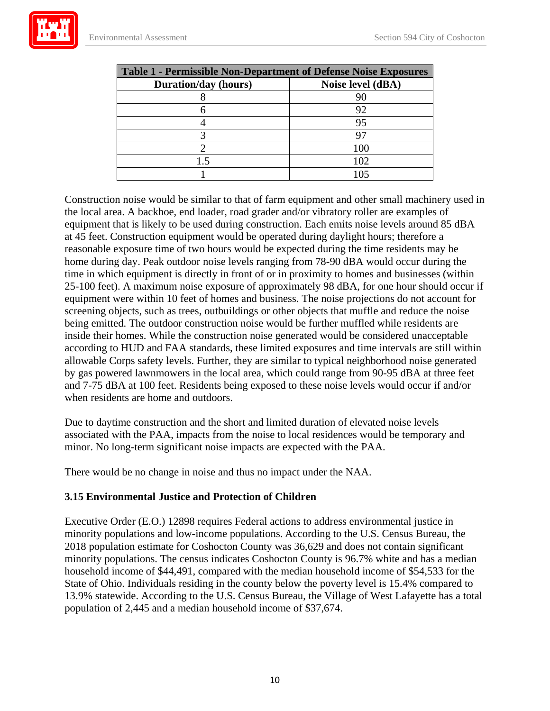| <b>Table 1 - Permissible Non-Department of Defense Noise Exposures</b> |                   |  |  |  |
|------------------------------------------------------------------------|-------------------|--|--|--|
| <b>Duration/day (hours)</b>                                            | Noise level (dBA) |  |  |  |
|                                                                        |                   |  |  |  |
|                                                                        | 92                |  |  |  |
|                                                                        | 95                |  |  |  |
|                                                                        |                   |  |  |  |
|                                                                        | 100               |  |  |  |
| 15                                                                     | 102               |  |  |  |
|                                                                        | 105               |  |  |  |

 and 7-75 dBA at 100 feet. Residents being exposed to these noise levels would occur if and/or Construction noise would be similar to that of farm equipment and other small machinery used in the local area. A backhoe, end loader, road grader and/or vibratory roller are examples of equipment that is likely to be used during construction. Each emits noise levels around 85 dBA at 45 feet. Construction equipment would be operated during daylight hours; therefore a reasonable exposure time of two hours would be expected during the time residents may be home during day. Peak outdoor noise levels ranging from 78-90 dBA would occur during the time in which equipment is directly in front of or in proximity to homes and businesses (within 25-100 feet). A maximum noise exposure of approximately 98 dBA, for one hour should occur if equipment were within 10 feet of homes and business. The noise projections do not account for screening objects, such as trees, outbuildings or other objects that muffle and reduce the noise being emitted. The outdoor construction noise would be further muffled while residents are inside their homes. While the construction noise generated would be considered unacceptable according to HUD and FAA standards, these limited exposures and time intervals are still within allowable Corps safety levels. Further, they are similar to typical neighborhood noise generated by gas powered lawnmowers in the local area, which could range from 90-95 dBA at three feet when residents are home and outdoors.

 associated with the PAA, impacts from the noise to local residences would be temporary and Due to daytime construction and the short and limited duration of elevated noise levels minor. No long-term significant noise impacts are expected with the PAA.

There would be no change in noise and thus no impact under the NAA.

### **3.15 Environmental Justice and Protection of Children**

Executive Order (E.O.) 12898 requires Federal actions to address environmental justice in minority populations and low-income populations. According to the U.S. Census Bureau, the 2018 population estimate for Coshocton County was 36,629 and does not contain significant minority populations. The census indicates Coshocton County is 96.7% white and has a median household income of \$44,491, compared with the median household income of \$54,533 for the State of Ohio. Individuals residing in the county below the poverty level is 15.4% compared to 13.9% statewide. According to the U.S. Census Bureau, the Village of West Lafayette has a total population of 2,445 and a median household income of \$37,674.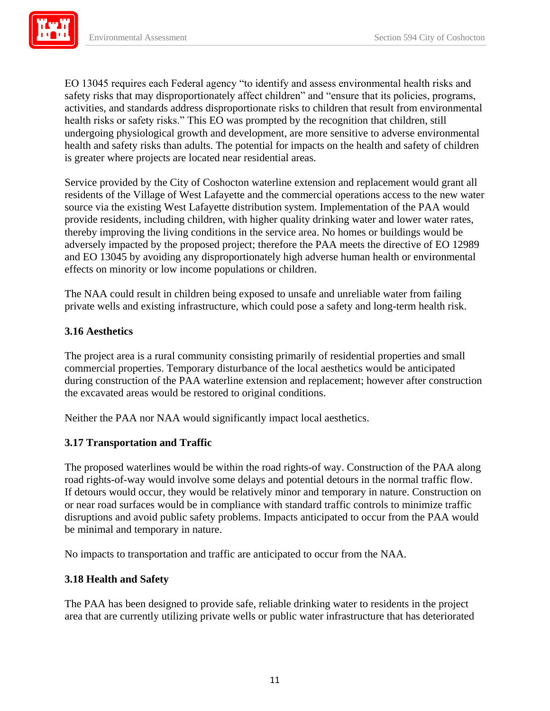

 health and safety risks than adults. The potential for impacts on the health and safety of children EO 13045 requires each Federal agency "to identify and assess environmental health risks and safety risks that may disproportionately affect children" and "ensure that its policies, programs, activities, and standards address disproportionate risks to children that result from environmental health risks or safety risks." This EO was prompted by the recognition that children, still undergoing physiological growth and development, are more sensitive to adverse environmental is greater where projects are located near residential areas.

Service provided by the City of Coshocton waterline extension and replacement would grant all residents of the Village of West Lafayette and the commercial operations access to the new water source via the existing West Lafayette distribution system. Implementation of the PAA would provide residents, including children, with higher quality drinking water and lower water rates, thereby improving the living conditions in the service area. No homes or buildings would be adversely impacted by the proposed project; therefore the PAA meets the directive of EO 12989 and EO 13045 by avoiding any disproportionately high adverse human health or environmental effects on minority or low income populations or children.

 The NAA could result in children being exposed to unsafe and unreliable water from failing private wells and existing infrastructure, which could pose a safety and long-term health risk.

## **3.16 Aesthetics**

 during construction of the PAA waterline extension and replacement; however after construction The project area is a rural community consisting primarily of residential properties and small commercial properties. Temporary disturbance of the local aesthetics would be anticipated the excavated areas would be restored to original conditions.

Neither the PAA nor NAA would significantly impact local aesthetics.

### **3.17 Transportation and Traffic**

 be minimal and temporary in nature. The proposed waterlines would be within the road rights-of way. Construction of the PAA along road rights-of-way would involve some delays and potential detours in the normal traffic flow. If detours would occur, they would be relatively minor and temporary in nature. Construction on or near road surfaces would be in compliance with standard traffic controls to minimize traffic disruptions and avoid public safety problems. Impacts anticipated to occur from the PAA would

No impacts to transportation and traffic are anticipated to occur from the NAA.

### **3.18 Health and Safety**

The PAA has been designed to provide safe, reliable drinking water to residents in the project area that are currently utilizing private wells or public water infrastructure that has deteriorated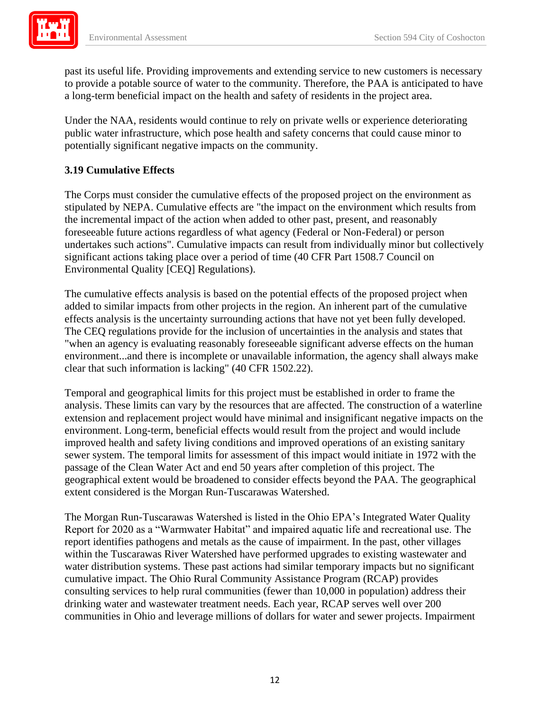past its useful life. Providing improvements and extending service to new customers is necessary to provide a potable source of water to the community. Therefore, the PAA is anticipated to have a long-term beneficial impact on the health and safety of residents in the project area.

Under the NAA, residents would continue to rely on private wells or experience deteriorating public water infrastructure, which pose health and safety concerns that could cause minor to potentially significant negative impacts on the community.

## **3.19 Cumulative Effects**

 significant actions taking place over a period of time (40 CFR Part 1508.7 Council on The Corps must consider the cumulative effects of the proposed project on the environment as stipulated by NEPA. Cumulative effects are "the impact on the environment which results from the incremental impact of the action when added to other past, present, and reasonably foreseeable future actions regardless of what agency (Federal or Non-Federal) or person undertakes such actions". Cumulative impacts can result from individually minor but collectively Environmental Quality [CEQ] Regulations).

The cumulative effects analysis is based on the potential effects of the proposed project when added to similar impacts from other projects in the region. An inherent part of the cumulative effects analysis is the uncertainty surrounding actions that have not yet been fully developed. The CEQ regulations provide for the inclusion of uncertainties in the analysis and states that "when an agency is evaluating reasonably foreseeable significant adverse effects on the human environment...and there is incomplete or unavailable information, the agency shall always make clear that such information is lacking" (40 CFR 1502.22).

 analysis. These limits can vary by the resources that are affected. The construction of a waterline extension and replacement project would have minimal and insignificant negative impacts on the environment. Long-term, beneficial effects would result from the project and would include extent considered is the Morgan Run-Tuscarawas Watershed. Temporal and geographical limits for this project must be established in order to frame the improved health and safety living conditions and improved operations of an existing sanitary sewer system. The temporal limits for assessment of this impact would initiate in 1972 with the passage of the Clean Water Act and end 50 years after completion of this project. The geographical extent would be broadened to consider effects beyond the PAA. The geographical

 drinking water and wastewater treatment needs. Each year, RCAP serves well over 200 The Morgan Run-Tuscarawas Watershed is listed in the Ohio EPA's Integrated Water Quality Report for 2020 as a "Warmwater Habitat" and impaired aquatic life and recreational use. The report identifies pathogens and metals as the cause of impairment. In the past, other villages within the Tuscarawas River Watershed have performed upgrades to existing wastewater and water distribution systems. These past actions had similar temporary impacts but no significant cumulative impact. The Ohio Rural Community Assistance Program (RCAP) provides consulting services to help rural communities (fewer than 10,000 in population) address their communities in Ohio and leverage millions of dollars for water and sewer projects. Impairment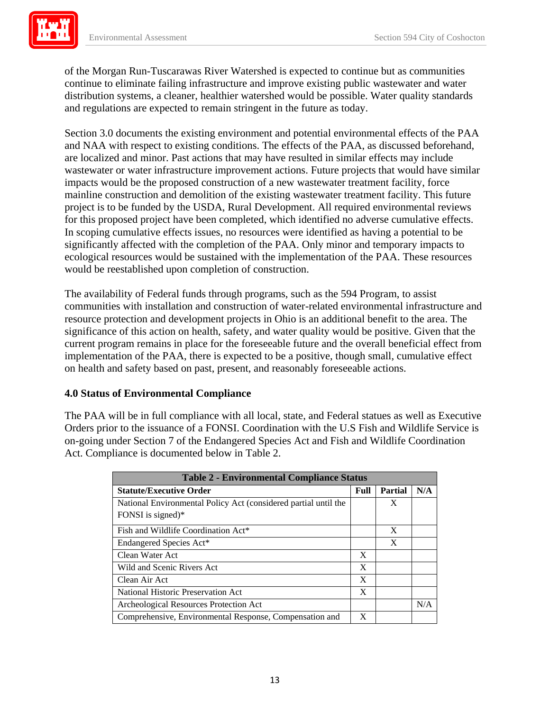

 and regulations are expected to remain stringent in the future as today. of the Morgan Run-Tuscarawas River Watershed is expected to continue but as communities continue to eliminate failing infrastructure and improve existing public wastewater and water distribution systems, a cleaner, healthier watershed would be possible. Water quality standards

 wastewater or water infrastructure improvement actions. Future projects that would have similar Section 3.0 documents the existing environment and potential environmental effects of the PAA and NAA with respect to existing conditions. The effects of the PAA, as discussed beforehand, are localized and minor. Past actions that may have resulted in similar effects may include impacts would be the proposed construction of a new wastewater treatment facility, force mainline construction and demolition of the existing wastewater treatment facility. This future project is to be funded by the USDA, Rural Development. All required environmental reviews for this proposed project have been completed, which identified no adverse cumulative effects. In scoping cumulative effects issues, no resources were identified as having a potential to be significantly affected with the completion of the PAA. Only minor and temporary impacts to ecological resources would be sustained with the implementation of the PAA. These resources would be reestablished upon completion of construction.

 implementation of the PAA, there is expected to be a positive, though small, cumulative effect The availability of Federal funds through programs, such as the 594 Program, to assist communities with installation and construction of water-related environmental infrastructure and resource protection and development projects in Ohio is an additional benefit to the area. The significance of this action on health, safety, and water quality would be positive. Given that the current program remains in place for the foreseeable future and the overall beneficial effect from on health and safety based on past, present, and reasonably foreseeable actions.

### **4.0 Status of Environmental Compliance**

 Act. Compliance is documented below in Table 2. The PAA will be in full compliance with all local, state, and Federal statues as well as Executive Orders prior to the issuance of a FONSI. Coordination with the U.S Fish and Wildlife Service is on-going under Section 7 of the Endangered Species Act and Fish and Wildlife Coordination

| <b>Table 2 - Environmental Compliance Status</b>                |   |                |     |  |  |
|-----------------------------------------------------------------|---|----------------|-----|--|--|
| <b>Statute/Executive Order</b>                                  |   | <b>Partial</b> | N/A |  |  |
| National Environmental Policy Act (considered partial until the |   | X              |     |  |  |
| FONSI is signed)*                                               |   |                |     |  |  |
| Fish and Wildlife Coordination Act*                             |   | X              |     |  |  |
| Endangered Species Act*                                         |   | X              |     |  |  |
| Clean Water Act                                                 | X |                |     |  |  |
| Wild and Scenic Rivers Act                                      |   |                |     |  |  |
| Clean Air Act                                                   |   |                |     |  |  |
| National Historic Preservation Act                              |   |                |     |  |  |
| Archeological Resources Protection Act                          |   |                | N/A |  |  |
| Comprehensive, Environmental Response, Compensation and         | X |                |     |  |  |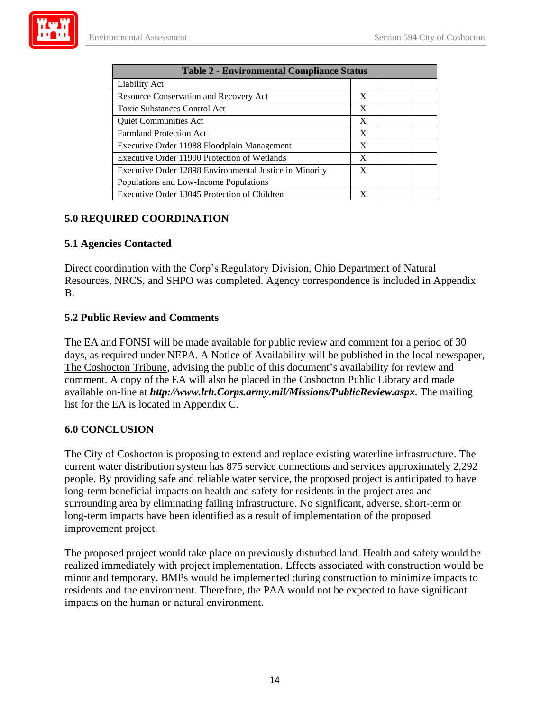

| <b>Table 2 - Environmental Compliance Status</b>        |   |  |  |  |  |
|---------------------------------------------------------|---|--|--|--|--|
| <b>Liability Act</b>                                    |   |  |  |  |  |
| <b>Resource Conservation and Recovery Act</b>           |   |  |  |  |  |
| <b>Toxic Substances Control Act</b>                     |   |  |  |  |  |
| Quiet Communities Act                                   |   |  |  |  |  |
| <b>Farmland Protection Act</b>                          |   |  |  |  |  |
| Executive Order 11988 Floodplain Management             |   |  |  |  |  |
| Executive Order 11990 Protection of Wetlands            |   |  |  |  |  |
| Executive Order 12898 Environmental Justice in Minority |   |  |  |  |  |
| Populations and Low-Income Populations                  |   |  |  |  |  |
| Executive Order 13045 Protection of Children            | X |  |  |  |  |

### **5.0 REQUIRED COORDINATION**

### **5.1 Agencies Contacted**

Direct coordination with the Corp's Regulatory Division, Ohio Department of Natural Resources, NRCS, and SHPO was completed. Agency correspondence is included in Appendix B.

### **5.2 Public Review and Comments**

 The Coshocton Tribune, advising the public of this document's availability for review and comment. A copy of the EA will also be placed in the Coshocton Public Library and made The EA and FONSI will be made available for public review and comment for a period of 30 days, as required under NEPA. A Notice of Availability will be published in the local newspaper, available on-line at *http://www.lrh.Corps.army.mil/Missions/PublicReview.aspx.* The mailing list for the EA is located in Appendix C.

### **6.0 CONCLUSION**

The City of Coshocton is proposing to extend and replace existing waterline infrastructure. The current water distribution system has 875 service connections and services approximately 2,292 people. By providing safe and reliable water service, the proposed project is anticipated to have long-term beneficial impacts on health and safety for residents in the project area and surrounding area by eliminating failing infrastructure. No significant, adverse, short-term or long-term impacts have been identified as a result of implementation of the proposed improvement project.

The proposed project would take place on previously disturbed land. Health and safety would be realized immediately with project implementation. Effects associated with construction would be minor and temporary. BMPs would be implemented during construction to minimize impacts to residents and the environment. Therefore, the PAA would not be expected to have significant impacts on the human or natural environment.